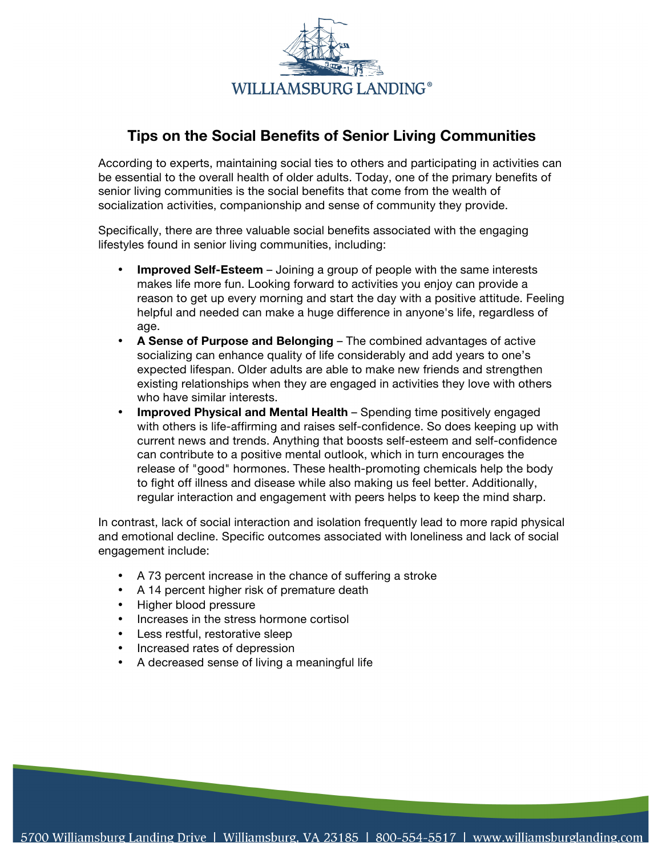

## **Tips on the Social Benefits of Senior Living Communities**

According to experts, maintaining social ties to others and participating in activities can be essential to the overall health of older adults. Today, one of the primary benefits of senior living communities is the social benefits that come from the wealth of socialization activities, companionship and sense of community they provide.

Specifically, there are three valuable social benefits associated with the engaging lifestyles found in senior living communities, including:

- **Improved Self-Esteem** Joining a group of people with the same interests makes life more fun. Looking forward to activities you enjoy can provide a reason to get up every morning and start the day with a positive attitude. Feeling helpful and needed can make a huge difference in anyone's life, regardless of age.
- **A Sense of Purpose and Belonging**  The combined advantages of active socializing can enhance quality of life considerably and add years to one's expected lifespan. Older adults are able to make new friends and strengthen existing relationships when they are engaged in activities they love with others who have similar interests.
- **Improved Physical and Mental Health**  Spending time positively engaged with others is life-affirming and raises self-confidence. So does keeping up with current news and trends. Anything that boosts self-esteem and self-confidence can contribute to a positive mental outlook, which in turn encourages the release of "good" hormones. These health-promoting chemicals help the body to fight off illness and disease while also making us feel better. Additionally, regular interaction and engagement with peers helps to keep the mind sharp.

In contrast, lack of social interaction and isolation frequently lead to more rapid physical and emotional decline. Specific outcomes associated with loneliness and lack of social engagement include:

- A 73 percent increase in the chance of suffering a stroke
- A 14 percent higher risk of premature death
- Higher blood pressure
- Increases in the stress hormone cortisol
- Less restful, restorative sleep
- Increased rates of depression
- A decreased sense of living a meaningful life